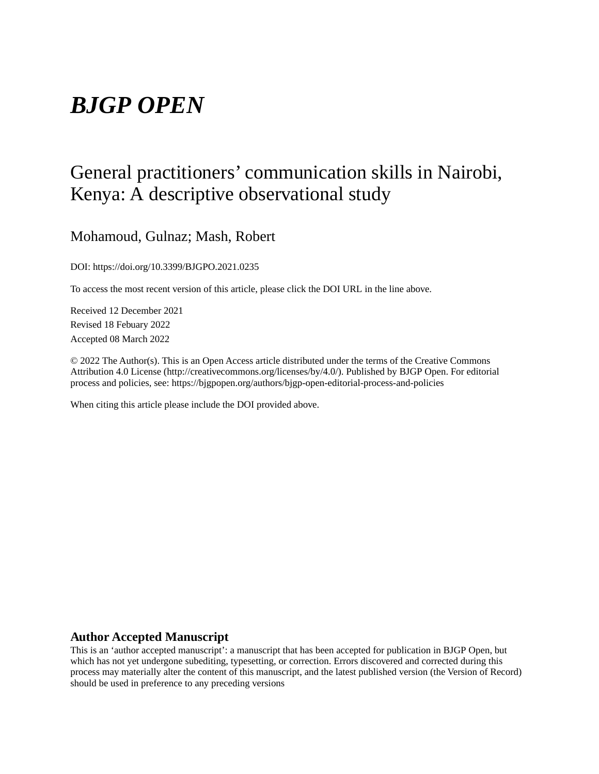# *BJGP OPEN*

# General practitioners' communication skills in Nairobi, Kenya: A descriptive observational study

## Mohamoud, Gulnaz; Mash, Robert

DOI: https://doi.org/10.3399/BJGPO.2021.0235

To access the most recent version of this article, please click the DOI URL in the line above.

Received 12 December 2021 Revised 18 Febuary 2022 Accepted 08 March 2022

© 2022 The Author(s). This is an Open Access article distributed under the terms of the Creative Commons Attribution 4.0 License (http://creativecommons.org/licenses/by/4.0/). Published by BJGP Open. For editorial process and policies, see: https://bjgpopen.org/authors/bjgp-open-editorial-process-and-policies

When citing this article please include the DOI provided above.

#### **Author Accepted Manuscript**

This is an 'author accepted manuscript': a manuscript that has been accepted for publication in BJGP Open, but which has not yet undergone subediting, typesetting, or correction. Errors discovered and corrected during this process may materially alter the content of this manuscript, and the latest published version (the Version of Record) should be used in preference to any preceding versions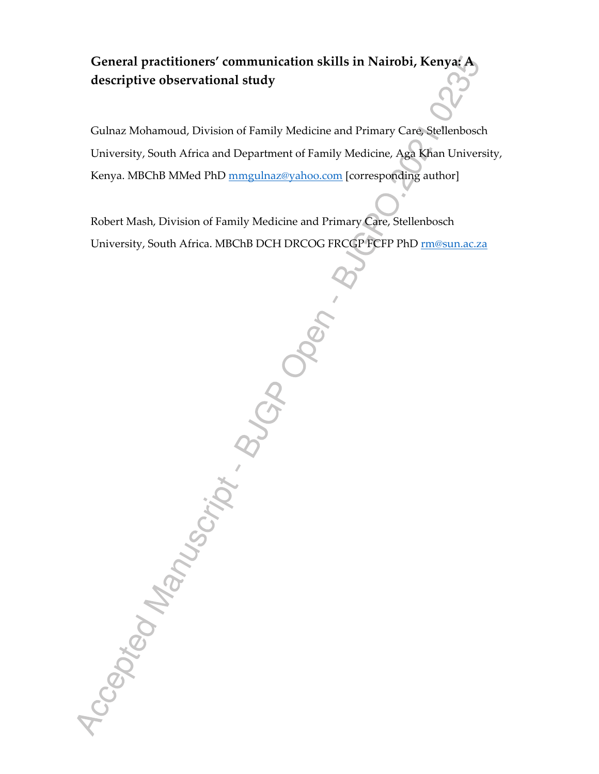# **General practitioners' communication skills in Nairobi, Kenya: A descriptive observational study**

Gulnaz Mohamoud, Division of Family Medicine and Primary Care, Stellenbosch University, South Africa and Department of Family Medicine, Aga Khan University, Kenya. MBChB MMed PhD mmgulnaz@yahoo.com [corresponding author]

Robert Mash, Division of Family Medicine and Primary Care, Stellenbosch<br>University, South Africa. MBChB DCH DRCOC FRCGPFEFF PhD <u>missur</u><br>University, South Africa. MBChB DCH DRCOC FRCGFFEFF PhD <u>missur</u><br>Care and Care and Ca University, South Africa. MBChB DCH DRCOG FRCGP FCFP PhD rm@sun.ac.za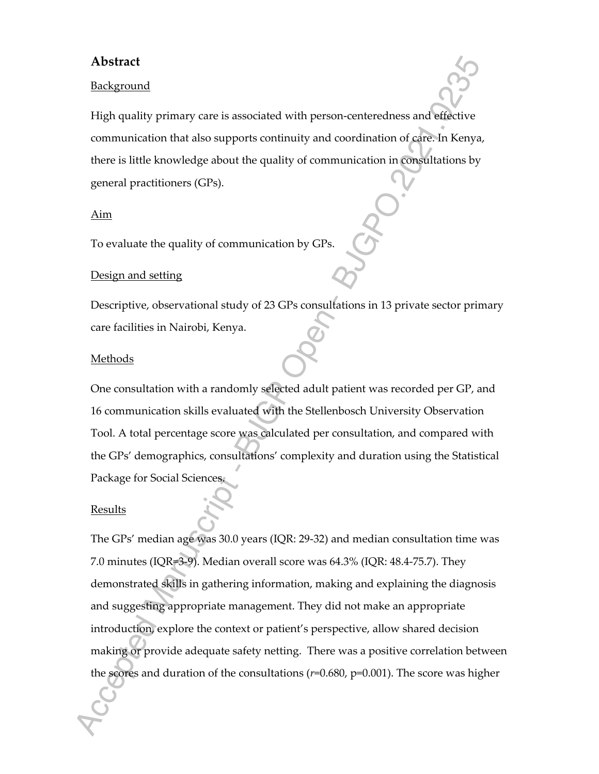## **Abstract**

### Background

High quality primary care is associated with person-centeredness and effective communication that also supports continuity and coordination of care. In Kenya, there is little knowledge about the quality of communication in consultations by general practitioners (GPs).

#### Aim

To evaluate the quality of communication by GPs.

### Design and setting

Descriptive, observational study of 23 GPs consultations in 13 private sector primary care facilities in Nairobi, Kenya.

#### **Methods**

One consultation with a randomly selected adult patient was recorded per GP, and 16 communication skills evaluated with the Stellenbosch University Observation Tool. A total percentage score was calculated per consultation, and compared with the GPs' demographics, consultations' complexity and duration using the Statistical Package for Social Sciences.

## Results

The GPs' median age was 30.0 years (IQR: 29-32) and median consultation time was 7.0 minutes (IQR=3-9). Median overall score was 64.3% (IQR: 48.4-75.7). They demonstrated skills in gathering information, making and explaining the diagnosis and suggesting appropriate management. They did not make an appropriate introduction, explore the context or patient's perspective, allow shared decision making or provide adequate safety netting. There was a positive correlation between the scores and duration of the consultations (*r*=0.680, p=0.001). The score was higher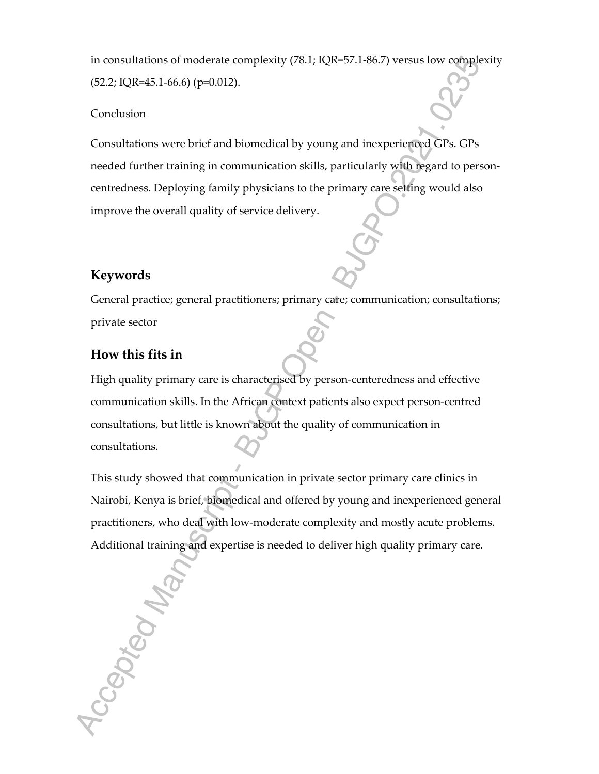in consultations of moderate complexity (78.1; IQR=57.1-86.7) versus low complexity (52.2; IQR=45.1-66.6) (p=0.012).

#### **Conclusion**

Consultations were brief and biomedical by young and inexperienced GPs. GPs needed further training in communication skills, particularly with regard to personcentredness. Deploying family physicians to the primary care setting would also improve the overall quality of service delivery.

## **Keywords**

General practice; general practitioners; primary care; communication; consultations; private sector

## **How this fits in**

Accepted Man

High quality primary care is characterised by person-centeredness and effective communication skills. In the African context patients also expect person-centred consultations, but little is known about the quality of communication in consultations.

This study showed that communication in private sector primary care clinics in Nairobi, Kenya is brief, biomedical and offered by young and inexperienced general practitioners, who deal with low-moderate complexity and mostly acute problems. Additional training and expertise is needed to deliver high quality primary care.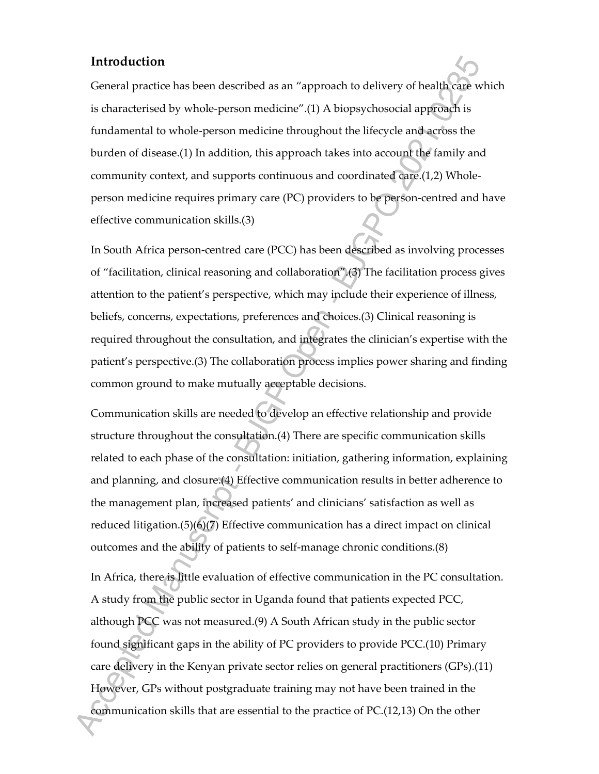## **Introduction**

General practice has been described as an "approach to delivery of health care which is characterised by whole-person medicine".(1) A biopsychosocial approach is fundamental to whole-person medicine throughout the lifecycle and across the burden of disease.(1) In addition, this approach takes into account the family and community context, and supports continuous and coordinated care.(1,2) Wholeperson medicine requires primary care (PC) providers to be person-centred and have effective communication skills.(3)

In South Africa person-centred care (PCC) has been described as involving processes of "facilitation, clinical reasoning and collaboration".(3) The facilitation process gives attention to the patient's perspective, which may include their experience of illness, beliefs, concerns, expectations, preferences and choices.(3) Clinical reasoning is required throughout the consultation, and integrates the clinician's expertise with the patient's perspective.(3) The collaboration process implies power sharing and finding common ground to make mutually acceptable decisions.

Communication skills are needed to develop an effective relationship and provide structure throughout the consultation.(4) There are specific communication skills related to each phase of the consultation: initiation, gathering information, explaining and planning, and closure.(4) Effective communication results in better adherence to the management plan, increased patients' and clinicians' satisfaction as well as reduced litigation.(5)(6)(7) Effective communication has a direct impact on clinical outcomes and the ability of patients to self-manage chronic conditions.(8)

In Africa, there is little evaluation of effective communication in the PC consultation. A study from the public sector in Uganda found that patients expected PCC, although PCC was not measured.(9) A South African study in the public sector found significant gaps in the ability of PC providers to provide PCC.(10) Primary care delivery in the Kenyan private sector relies on general practitioners (GPs).(11) However, GPs without postgraduate training may not have been trained in the communication skills that are essential to the practice of PC.(12,13) On the other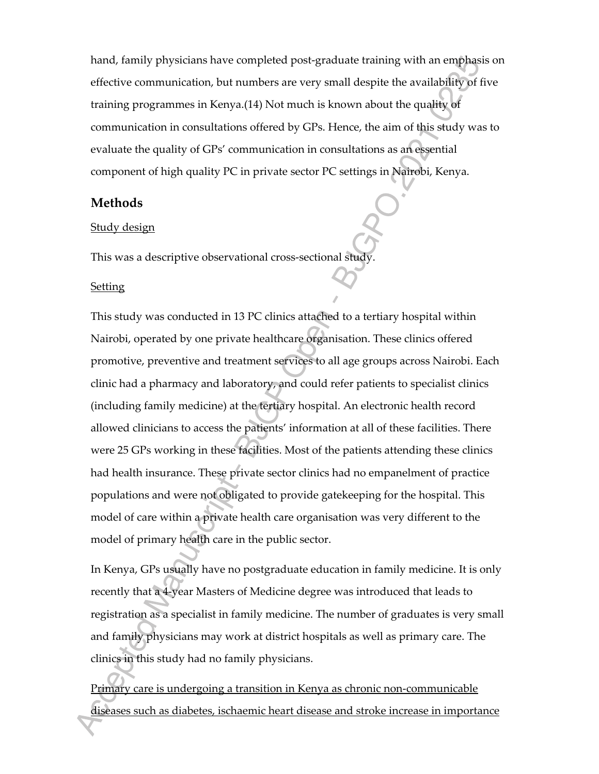hand, family physicians have completed post-graduate training with an emphasis on effective communication, but numbers are very small despite the availability of five training programmes in Kenya.(14) Not much is known about the quality of communication in consultations offered by GPs. Hence, the aim of this study was to evaluate the quality of GPs' communication in consultations as an essential component of high quality PC in private sector PC settings in Nairobi, Kenya.

## **Methods**

#### Study design

This was a descriptive observational cross-sectional study.

#### Setting

This study was conducted in 13 PC clinics attached to a tertiary hospital within Nairobi, operated by one private healthcare organisation. These clinics offered promotive, preventive and treatment services to all age groups across Nairobi. Each clinic had a pharmacy and laboratory, and could refer patients to specialist clinics (including family medicine) at the tertiary hospital. An electronic health record allowed clinicians to access the patients' information at all of these facilities. There were 25 GPs working in these facilities. Most of the patients attending these clinics had health insurance. These private sector clinics had no empanelment of practice populations and were not obligated to provide gatekeeping for the hospital. This model of care within a private health care organisation was very different to the model of primary health care in the public sector.

In Kenya, GPs usually have no postgraduate education in family medicine. It is only recently that a 4-year Masters of Medicine degree was introduced that leads to registration as a specialist in family medicine. The number of graduates is very small and family physicians may work at district hospitals as well as primary care. The clinics in this study had no family physicians.

Primary care is undergoing a transition in Kenya as chronic non-communicable diseases such as diabetes, ischaemic heart disease and stroke increase in importance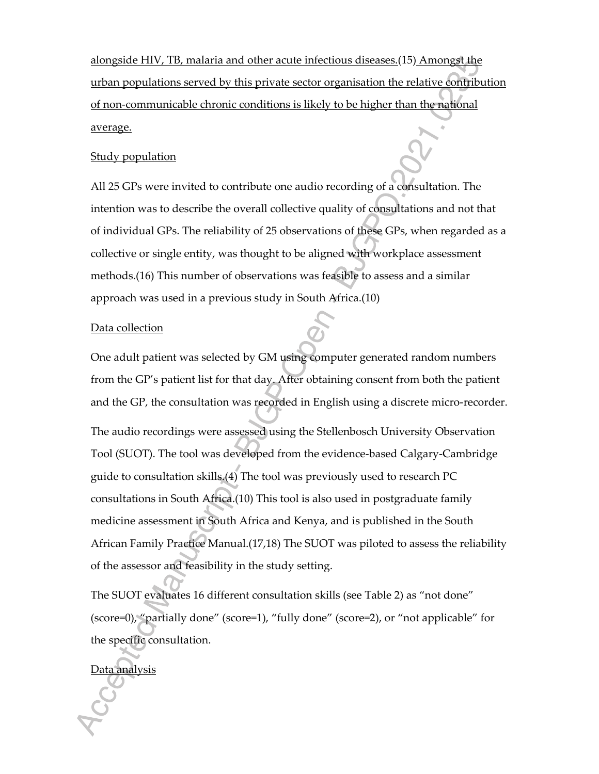alongside HIV, TB, malaria and other acute infectious diseases.(15) Amongst the urban populations served by this private sector organisation the relative contribution of non-communicable chronic conditions is likely to be higher than the national average.

#### Study population

All 25 GPs were invited to contribute one audio recording of a consultation. The intention was to describe the overall collective quality of consultations and not that of individual GPs. The reliability of 25 observations of these GPs, when regarded as a collective or single entity, was thought to be aligned with workplace assessment methods.(16) This number of observations was feasible to assess and a similar approach was used in a previous study in South Africa.(10)

#### Data collection

One adult patient was selected by GM using computer generated random numbers from the GP's patient list for that day. After obtaining consent from both the patient and the GP, the consultation was recorded in English using a discrete micro-recorder.

The audio recordings were assessed using the Stellenbosch University Observation Tool (SUOT). The tool was developed from the evidence-based Calgary-Cambridge guide to consultation skills.(4) The tool was previously used to research PC consultations in South Africa.(10) This tool is also used in postgraduate family medicine assessment in South Africa and Kenya, and is published in the South African Family Practice Manual.(17,18) The SUOT was piloted to assess the reliability of the assessor and feasibility in the study setting.

The SUOT evaluates 16 different consultation skills (see Table 2) as "not done" (score=0), "partially done" (score=1), "fully done" (score=2), or "not applicable" for the specific consultation.

## Data analysis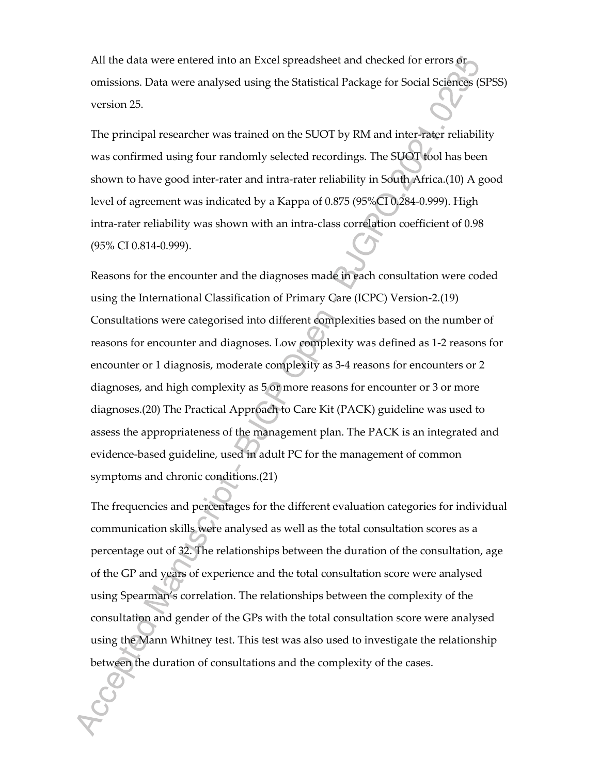All the data were entered into an Excel spreadsheet and checked for errors or omissions. Data were analysed using the Statistical Package for Social Sciences (SPSS) version 25.

The principal researcher was trained on the SUOT by RM and inter-rater reliability was confirmed using four randomly selected recordings. The SUOT tool has been shown to have good inter-rater and intra-rater reliability in South Africa.(10) A good level of agreement was indicated by a Kappa of 0.875 (95%CI 0.284-0.999). High intra-rater reliability was shown with an intra-class correlation coefficient of 0.98 (95% CI 0.814-0.999).

Reasons for the encounter and the diagnoses made in each consultation were coded using the International Classification of Primary Care (ICPC) Version-2.(19) Consultations were categorised into different complexities based on the number of reasons for encounter and diagnoses. Low complexity was defined as 1-2 reasons for encounter or 1 diagnosis, moderate complexity as 3-4 reasons for encounters or 2 diagnoses, and high complexity as 5 or more reasons for encounter or 3 or more diagnoses.(20) The Practical Approach to Care Kit (PACK) guideline was used to assess the appropriateness of the management plan. The PACK is an integrated and evidence-based guideline, used in adult PC for the management of common symptoms and chronic conditions.(21)

The frequencies and percentages for the different evaluation categories for individual communication skills were analysed as well as the total consultation scores as a percentage out of 32. The relationships between the duration of the consultation, age of the GP and years of experience and the total consultation score were analysed using Spearman's correlation. The relationships between the complexity of the consultation and gender of the GPs with the total consultation score were analysed using the Mann Whitney test. This test was also used to investigate the relationship between the duration of consultations and the complexity of the cases.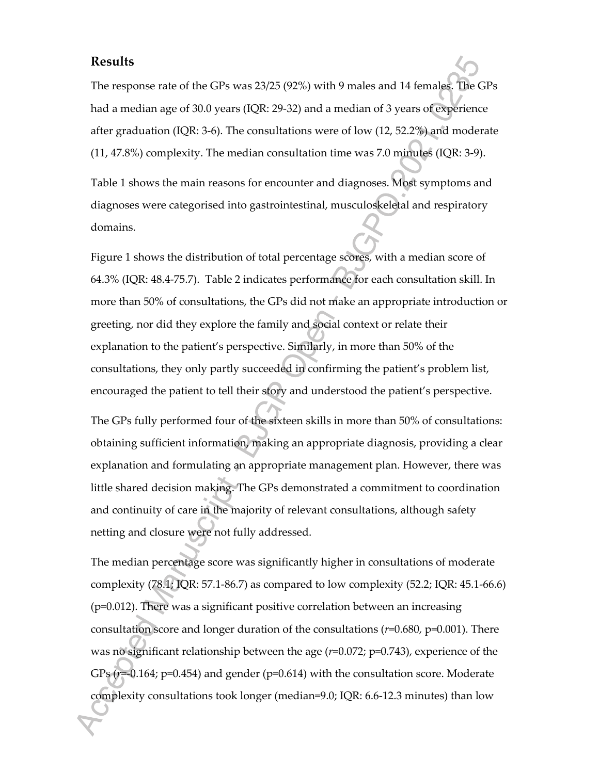## **Results**

The response rate of the GPs was 23/25 (92%) with 9 males and 14 females. The GPs had a median age of 30.0 years (IQR: 29-32) and a median of 3 years of experience after graduation (IQR: 3-6). The consultations were of low (12, 52.2%) and moderate (11, 47.8%) complexity. The median consultation time was 7.0 minutes (IQR: 3-9).

Table 1 shows the main reasons for encounter and diagnoses. Most symptoms and diagnoses were categorised into gastrointestinal, musculoskeletal and respiratory domains.

Figure 1 shows the distribution of total percentage scores, with a median score of 64.3% (IQR: 48.4-75.7). Table 2 indicates performance for each consultation skill. In more than 50% of consultations, the GPs did not make an appropriate introduction or greeting, nor did they explore the family and social context or relate their explanation to the patient's perspective. Similarly, in more than 50% of the consultations, they only partly succeeded in confirming the patient's problem list, encouraged the patient to tell their story and understood the patient's perspective.

The GPs fully performed four of the sixteen skills in more than 50% of consultations: obtaining sufficient information, making an appropriate diagnosis, providing a clear explanation and formulating an appropriate management plan. However, there was little shared decision making. The GPs demonstrated a commitment to coordination and continuity of care in the majority of relevant consultations, although safety netting and closure were not fully addressed.

The median percentage score was significantly higher in consultations of moderate complexity  $(78.1; IQR: 57.1-86.7)$  as compared to low complexity  $(52.2; IQR: 45.1-66.6)$ (p=0.012). There was a significant positive correlation between an increasing consultation score and longer duration of the consultations (*r*=0.680, p=0.001). There was no significant relationship between the age (*r*=0.072; p=0.743), experience of the GPs ( $r=0.164$ ;  $p=0.454$ ) and gender ( $p=0.614$ ) with the consultation score. Moderate complexity consultations took longer (median=9.0; IQR: 6.6-12.3 minutes) than low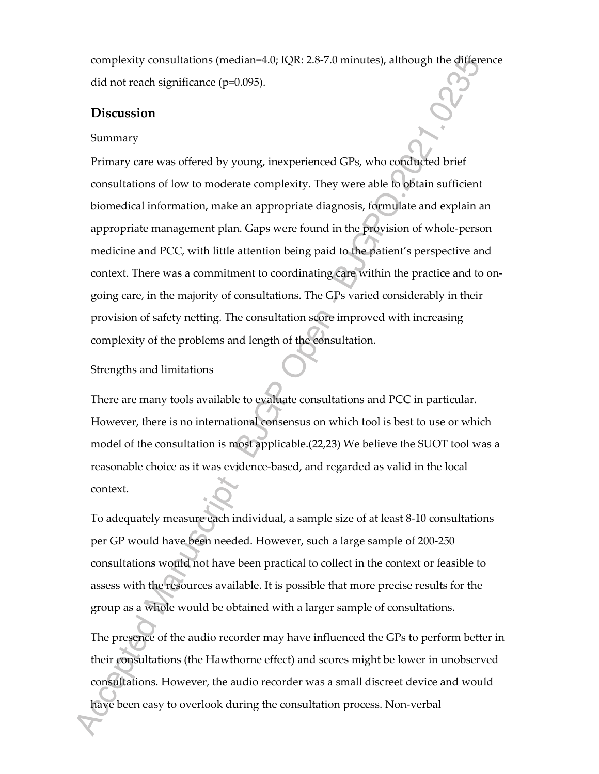complexity consultations (median=4.0; IQR: 2.8-7.0 minutes), although the difference did not reach significance (p=0.095).

## **Discussion**

#### Summary

Primary care was offered by young, inexperienced GPs, who conducted brief consultations of low to moderate complexity. They were able to obtain sufficient biomedical information, make an appropriate diagnosis, formulate and explain an appropriate management plan. Gaps were found in the provision of whole-person medicine and PCC, with little attention being paid to the patient's perspective and context. There was a commitment to coordinating care within the practice and to ongoing care, in the majority of consultations. The GPs varied considerably in their provision of safety netting. The consultation score improved with increasing complexity of the problems and length of the consultation.

#### Strengths and limitations

There are many tools available to evaluate consultations and PCC in particular. However, there is no international consensus on which tool is best to use or which model of the consultation is most applicable.(22,23) We believe the SUOT tool was a reasonable choice as it was evidence-based, and regarded as valid in the local context.

To adequately measure each individual, a sample size of at least 8-10 consultations per GP would have been needed. However, such a large sample of 200-250 consultations would not have been practical to collect in the context or feasible to assess with the resources available. It is possible that more precise results for the group as a whole would be obtained with a larger sample of consultations.

The presence of the audio recorder may have influenced the GPs to perform better in their consultations (the Hawthorne effect) and scores might be lower in unobserved consultations. However, the audio recorder was a small discreet device and would have been easy to overlook during the consultation process. Non-verbal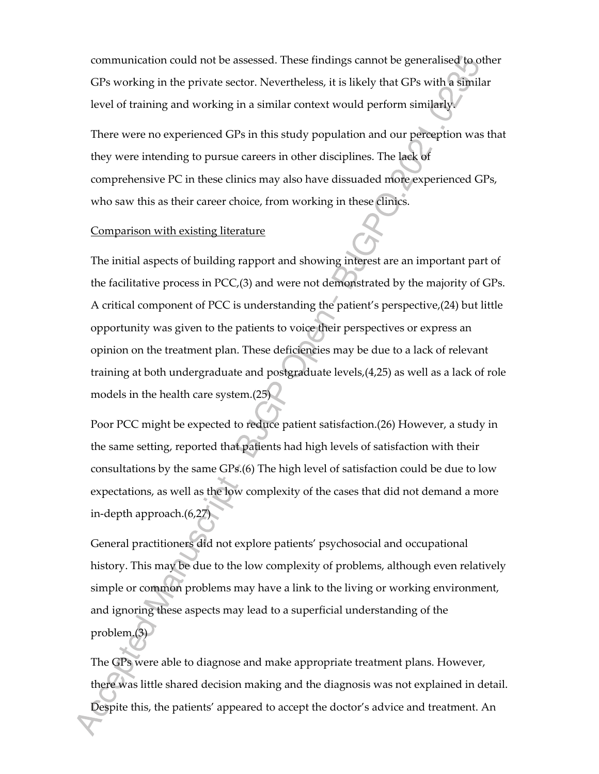communication could not be assessed. These findings cannot be generalised to other GPs working in the private sector. Nevertheless, it is likely that GPs with a similar level of training and working in a similar context would perform similarly.

There were no experienced GPs in this study population and our perception was that they were intending to pursue careers in other disciplines. The lack of comprehensive PC in these clinics may also have dissuaded more experienced GPs, who saw this as their career choice, from working in these clinics.

#### Comparison with existing literature

The initial aspects of building rapport and showing interest are an important part of the facilitative process in PCC,(3) and were not demonstrated by the majority of GPs. A critical component of PCC is understanding the patient's perspective,(24) but little opportunity was given to the patients to voice their perspectives or express an opinion on the treatment plan. These deficiencies may be due to a lack of relevant training at both undergraduate and postgraduate levels,(4,25) as well as a lack of role models in the health care system.(25)

Poor PCC might be expected to reduce patient satisfaction.(26) However, a study in the same setting, reported that patients had high levels of satisfaction with their consultations by the same GPs.(6) The high level of satisfaction could be due to low expectations, as well as the low complexity of the cases that did not demand a more in-depth approach.(6,27)

General practitioners did not explore patients' psychosocial and occupational history. This may be due to the low complexity of problems, although even relatively simple or common problems may have a link to the living or working environment, and ignoring these aspects may lead to a superficial understanding of the problem.(3)

The GPs were able to diagnose and make appropriate treatment plans. However, there was little shared decision making and the diagnosis was not explained in detail. Despite this, the patients' appeared to accept the doctor's advice and treatment. An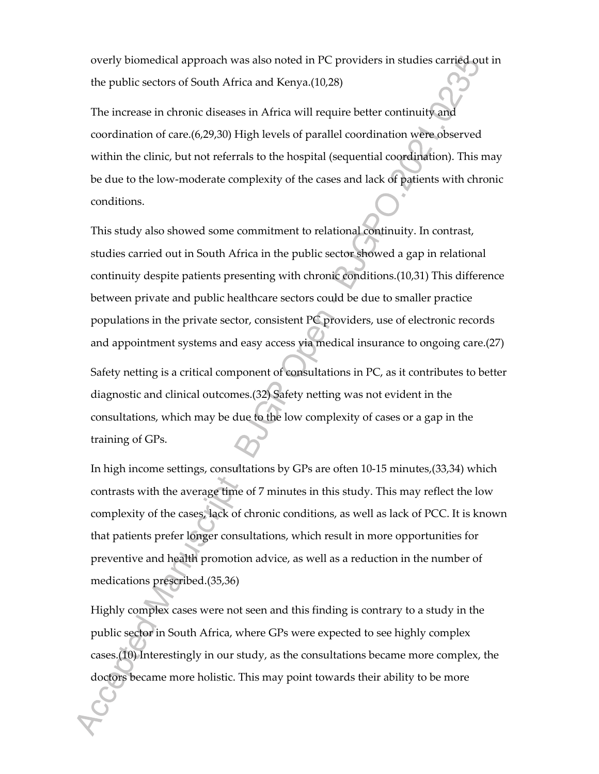overly biomedical approach was also noted in PC providers in studies carried out in the public sectors of South Africa and Kenya.(10,28)

The increase in chronic diseases in Africa will require better continuity and coordination of care.(6,29,30) High levels of parallel coordination were observed within the clinic, but not referrals to the hospital (sequential coordination). This may be due to the low-moderate complexity of the cases and lack of patients with chronic conditions.

This study also showed some commitment to relational continuity. In contrast, studies carried out in South Africa in the public sector showed a gap in relational continuity despite patients presenting with chronic conditions.(10,31) This difference between private and public healthcare sectors could be due to smaller practice populations in the private sector, consistent PC providers, use of electronic records and appointment systems and easy access via medical insurance to ongoing care.(27)

Safety netting is a critical component of consultations in PC, as it contributes to better diagnostic and clinical outcomes.(32) Safety netting was not evident in the consultations, which may be due to the low complexity of cases or a gap in the training of GPs.

In high income settings, consultations by GPs are often 10-15 minutes,(33,34) which contrasts with the average time of 7 minutes in this study. This may reflect the low complexity of the cases, lack of chronic conditions, as well as lack of PCC. It is known that patients prefer longer consultations, which result in more opportunities for preventive and health promotion advice, as well as a reduction in the number of medications prescribed.(35,36)

Highly complex cases were not seen and this finding is contrary to a study in the public sector in South Africa, where GPs were expected to see highly complex cases.(10) Interestingly in our study, as the consultations became more complex, the doctors became more holistic. This may point towards their ability to be more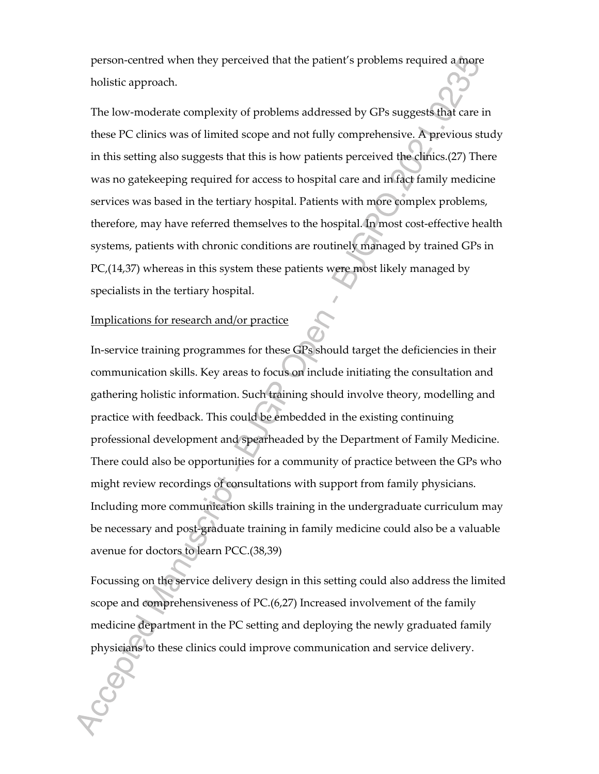person-centred when they perceived that the patient's problems required a more holistic approach.

The low-moderate complexity of problems addressed by GPs suggests that care in these PC clinics was of limited scope and not fully comprehensive. A previous study in this setting also suggests that this is how patients perceived the clinics.(27) There was no gatekeeping required for access to hospital care and in fact family medicine services was based in the tertiary hospital. Patients with more complex problems, therefore, may have referred themselves to the hospital. In most cost-effective health systems, patients with chronic conditions are routinely managed by trained GPs in PC,(14,37) whereas in this system these patients were most likely managed by specialists in the tertiary hospital.

#### Implications for research and/or practice

In-service training programmes for these GPs should target the deficiencies in their communication skills. Key areas to focus on include initiating the consultation and gathering holistic information. Such training should involve theory, modelling and practice with feedback. This could be embedded in the existing continuing professional development and spearheaded by the Department of Family Medicine. There could also be opportunities for a community of practice between the GPs who might review recordings of consultations with support from family physicians. Including more communication skills training in the undergraduate curriculum may be necessary and post-graduate training in family medicine could also be a valuable avenue for doctors to learn PCC.(38,39)

Focussing on the service delivery design in this setting could also address the limited scope and comprehensiveness of PC.(6,27) Increased involvement of the family medicine department in the PC setting and deploying the newly graduated family physicians to these clinics could improve communication and service delivery.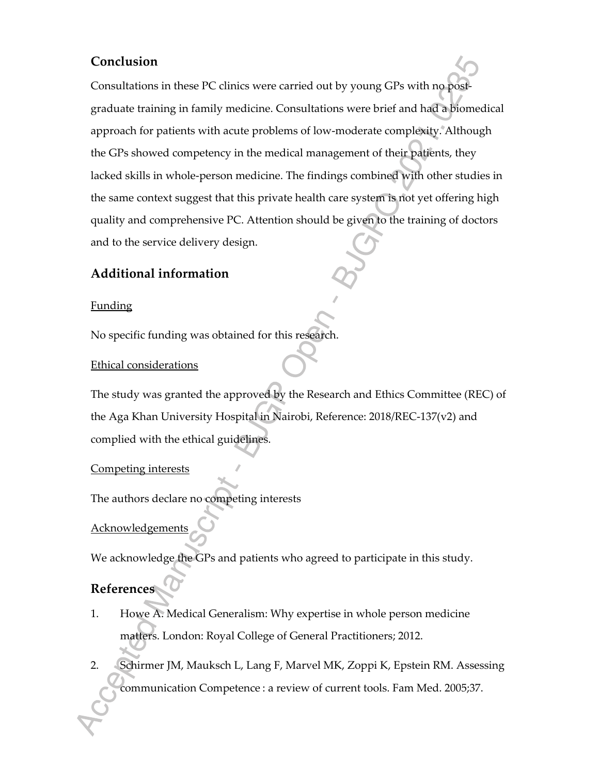## **Conclusion**

Consultations in these PC clinics were carried out by young GPs with no postgraduate training in family medicine. Consultations were brief and had a biomedical approach for patients with acute problems of low-moderate complexity. Although the GPs showed competency in the medical management of their patients, they lacked skills in whole-person medicine. The findings combined with other studies in the same context suggest that this private health care system is not yet offering high quality and comprehensive PC. Attention should be given to the training of doctors and to the service delivery design.

# **Additional information**

## Funding

No specific funding was obtained for this research.

## Ethical considerations

The study was granted the approved by the Research and Ethics Committee (REC) of the Aga Khan University Hospital in Nairobi, Reference: 2018/REC-137(v2) and complied with the ethical guidelines.

## Competing interests

The authors declare no competing interests

## **Acknowledgements**

We acknowledge the GPs and patients who agreed to participate in this study.

## **References**

- 1. Howe A. Medical Generalism: Why expertise in whole person medicine matters. London: Royal College of General Practitioners; 2012.
- 2. Schirmer JM, Mauksch L, Lang F, Marvel MK, Zoppi K, Epstein RM. Assessing communication Competence : a review of current tools. Fam Med. 2005;37.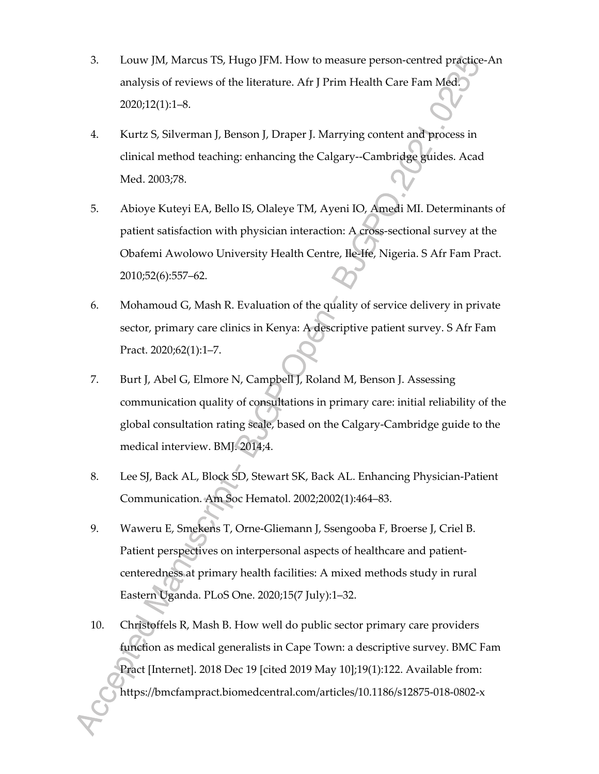- 3. Louw JM, Marcus TS, Hugo JFM. How to measure person-centred practice-An analysis of reviews of the literature. Afr J Prim Health Care Fam Med. 2020;12(1):1–8.
- 4. Kurtz S, Silverman J, Benson J, Draper J. Marrying content and process in clinical method teaching: enhancing the Calgary--Cambridge guides. Acad Med. 2003;78.
- 5. Abioye Kuteyi EA, Bello IS, Olaleye TM, Ayeni IO, Amedi MI. Determinants of patient satisfaction with physician interaction: A cross-sectional survey at the Obafemi Awolowo University Health Centre, Ile-Ife, Nigeria. S Afr Fam Pract. 2010;52(6):557–62.
- 6. Mohamoud G, Mash R. Evaluation of the quality of service delivery in private sector, primary care clinics in Kenya: A descriptive patient survey. S Afr Fam Pract. 2020;62(1):1–7.
- 7. Burt J, Abel G, Elmore N, Campbell J, Roland M, Benson J. Assessing communication quality of consultations in primary care: initial reliability of the global consultation rating scale, based on the Calgary-Cambridge guide to the medical interview. BMJ. 2014;4.
- 8. Lee SJ, Back AL, Block SD, Stewart SK, Back AL. Enhancing Physician-Patient Communication. Am Soc Hematol. 2002;2002(1):464–83.
- 9. Waweru E, Smekens T, Orne-Gliemann J, Ssengooba F, Broerse J, Criel B. Patient perspectives on interpersonal aspects of healthcare and patientcenteredness at primary health facilities: A mixed methods study in rural Eastern Uganda. PLoS One. 2020;15(7 July):1–32.
- 10. Christoffels R, Mash B. How well do public sector primary care providers function as medical generalists in Cape Town: a descriptive survey. BMC Fam Pract [Internet]. 2018 Dec 19 [cited 2019 May 10];19(1):122. Available from: https://bmcfampract.biomedcentral.com/articles/10.1186/s12875-018-0802-x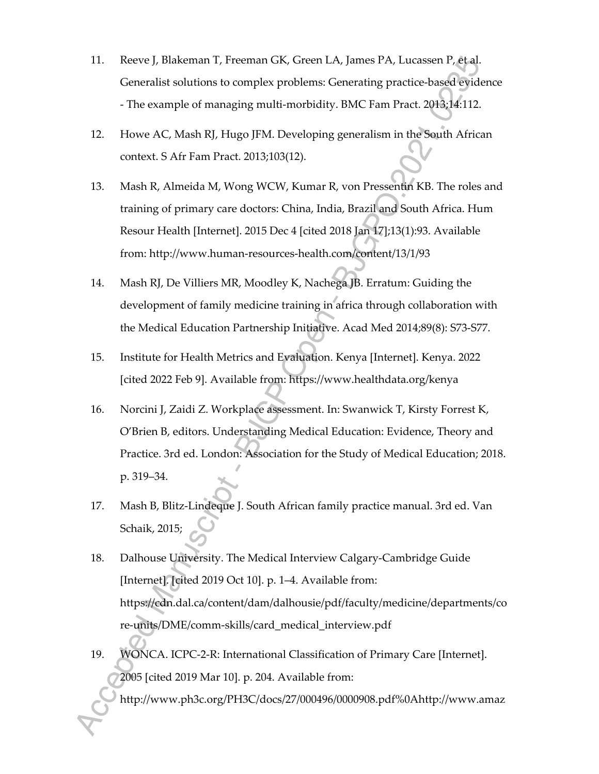- 11. Reeve J, Blakeman T, Freeman GK, Green LA, James PA, Lucassen P, et al. Generalist solutions to complex problems: Generating practice-based evidence - The example of managing multi-morbidity. BMC Fam Pract. 2013;14:112.
- 12. Howe AC, Mash RJ, Hugo JFM. Developing generalism in the South African context. S Afr Fam Pract. 2013;103(12).
- 13. Mash R, Almeida M, Wong WCW, Kumar R, von Pressentin KB. The roles and training of primary care doctors: China, India, Brazil and South Africa. Hum Resour Health [Internet]. 2015 Dec 4 [cited 2018 Jan 17];13(1):93. Available from: http://www.human-resources-health.com/content/13/1/93
- 14. Mash RJ, De Villiers MR, Moodley K, Nachega JB. Erratum: Guiding the development of family medicine training in africa through collaboration with the Medical Education Partnership Initiative. Acad Med 2014;89(8): S73-S77.
- 15. Institute for Health Metrics and Evaluation. Kenya [Internet]. Kenya. 2022 [cited 2022 Feb 9]. Available from: https://www.healthdata.org/kenya
- 16. Norcini J, Zaidi Z. Workplace assessment. In: Swanwick T, Kirsty Forrest K, O'Brien B, editors. Understanding Medical Education: Evidence, Theory and Practice. 3rd ed. London: Association for the Study of Medical Education; 2018. p. 319–34.
- 17. Mash B, Blitz-Lindeque J. South African family practice manual. 3rd ed. Van Schaik, 2015;
- 18. Dalhouse University. The Medical Interview Calgary-Cambridge Guide [Internet]. [cited 2019 Oct 10]. p. 1–4. Available from: https://cdn.dal.ca/content/dam/dalhousie/pdf/faculty/medicine/departments/co re-units/DME/comm-skills/card\_medical\_interview.pdf
- 19. WONCA. ICPC-2-R: International Classification of Primary Care [Internet]. 2005 [cited 2019 Mar 10]. p. 204. Available from:

http://www.ph3c.org/PH3C/docs/27/000496/0000908.pdf%0Ahttp://www.amaz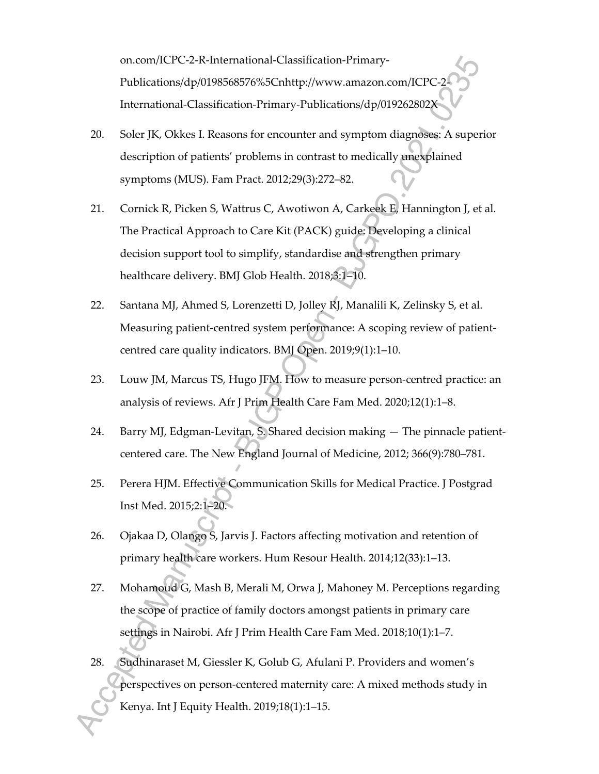on.com/ICPC-2-R-International-Classification-Primary-Publications/dp/0198568576%5Cnhttp://www.amazon.com/ICPC-2- International-Classification-Primary-Publications/dp/019262802X

- 20. Soler JK, Okkes I. Reasons for encounter and symptom diagnoses: A superior description of patients' problems in contrast to medically unexplained symptoms (MUS). Fam Pract. 2012;29(3):272–82.
- 21. Cornick R, Picken S, Wattrus C, Awotiwon A, Carkeek E, Hannington J, et al. The Practical Approach to Care Kit (PACK) guide: Developing a clinical decision support tool to simplify, standardise and strengthen primary healthcare delivery. BMJ Glob Health. 2018;3:1–10.
- 22. Santana MJ, Ahmed S, Lorenzetti D, Jolley RJ, Manalili K, Zelinsky S, et al. Measuring patient-centred system performance: A scoping review of patientcentred care quality indicators. BMJ Open. 2019;9(1):1–10.
- 23. Louw JM, Marcus TS, Hugo JFM. How to measure person-centred practice: an analysis of reviews. Afr J Prim Health Care Fam Med. 2020;12(1):1–8.
- 24. Barry MJ, Edgman-Levitan, S. Shared decision making The pinnacle patientcentered care. The New England Journal of Medicine, 2012; 366(9):780–781.
- 25. Perera HJM. Effective Communication Skills for Medical Practice. J Postgrad Inst Med. 2015;2:1–20.
- 26. Ojakaa D, Olango S, Jarvis J. Factors affecting motivation and retention of primary health care workers. Hum Resour Health. 2014;12(33):1–13.
- 27. Mohamoud G, Mash B, Merali M, Orwa J, Mahoney M. Perceptions regarding the scope of practice of family doctors amongst patients in primary care settings in Nairobi. Afr J Prim Health Care Fam Med. 2018;10(1):1–7.
- 28. Sudhinaraset M, Giessler K, Golub G, Afulani P. Providers and women's perspectives on person-centered maternity care: A mixed methods study in Kenya. Int J Equity Health. 2019;18(1):1–15.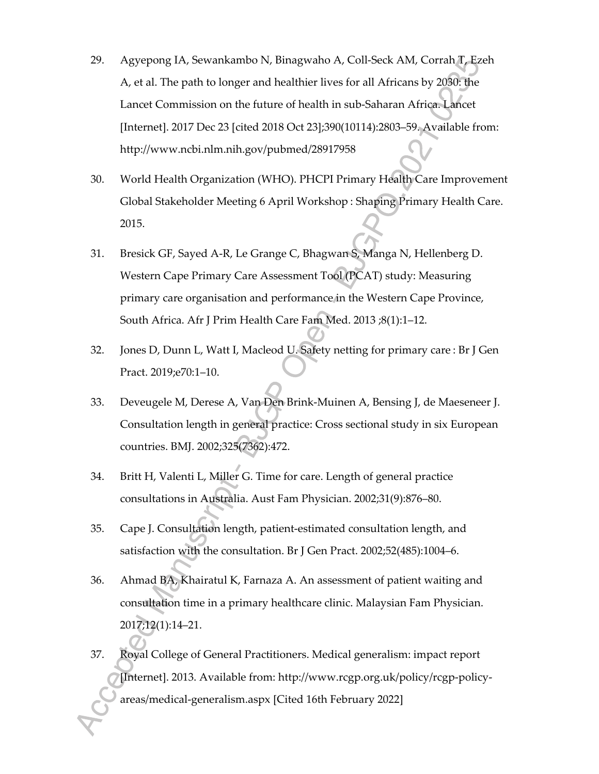- 29. Agyepong IA, Sewankambo N, Binagwaho A, Coll-Seck AM, Corrah T, Ezeh A, et al. The path to longer and healthier lives for all Africans by 2030: the Lancet Commission on the future of health in sub-Saharan Africa. Lancet [Internet]. 2017 Dec 23 [cited 2018 Oct 23];390(10114):2803–59. Available from: http://www.ncbi.nlm.nih.gov/pubmed/28917958
- 30. World Health Organization (WHO). PHCPI Primary Health Care Improvement Global Stakeholder Meeting 6 April Workshop : Shaping Primary Health Care. 2015.
- 31. Bresick GF, Sayed A-R, Le Grange C, Bhagwan S, Manga N, Hellenberg D. Western Cape Primary Care Assessment Tool (PCAT) study: Measuring primary care organisation and performance in the Western Cape Province, South Africa. Afr J Prim Health Care Fam Med. 2013 ;8(1):1–12.
- 32. Jones D, Dunn L, Watt I, Macleod U. Safety netting for primary care : Br J Gen Pract. 2019;e70:1–10.
- 33. Deveugele M, Derese A, Van Den Brink-Muinen A, Bensing J, de Maeseneer J. Consultation length in general practice: Cross sectional study in six European countries. BMJ. 2002;325(7362):472.
- 34. Britt H, Valenti L, Miller G. Time for care. Length of general practice consultations in Australia. Aust Fam Physician. 2002;31(9):876–80.
- 35. Cape J. Consultation length, patient-estimated consultation length, and satisfaction with the consultation. Br J Gen Pract. 2002;52(485):1004–6.
- 36. Ahmad BA, Khairatul K, Farnaza A. An assessment of patient waiting and consultation time in a primary healthcare clinic. Malaysian Fam Physician. 2017;12(1):14–21.
- 37. Royal College of General Practitioners. Medical generalism: impact report [Internet]. 2013. Available from: http://www.rcgp.org.uk/policy/rcgp-policyareas/medical-generalism.aspx [Cited 16th February 2022]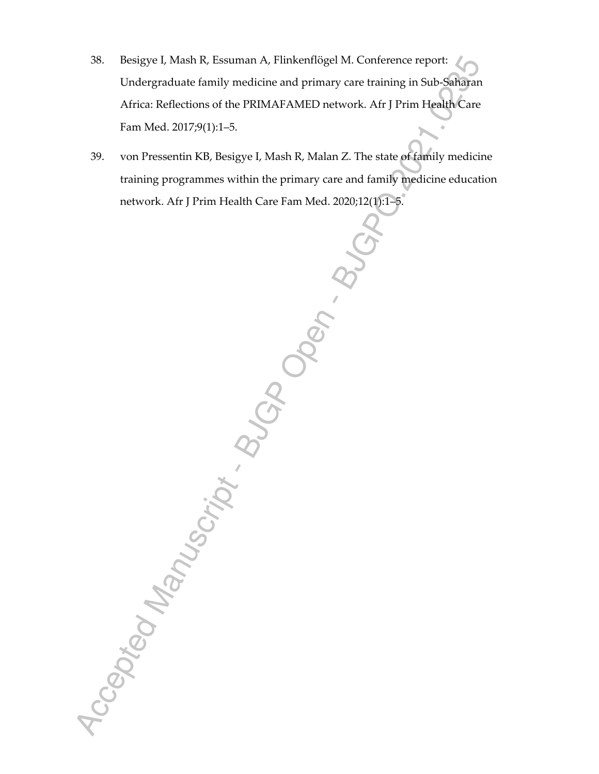- 38. Besigye I, Mash R, Essuman A, Flinkenflögel M. Conference report: Undergraduate family medicine and primary care training in Sub-Saharan Africa: Reflections of the PRIMAFAMED network. Afr J Prim Health Care Fam Med. 2017;9(1):1–5.
- 39. von Pressentin KB, Besigye I, Mash R, Malan Z. The state of family medicine training programmes within the primary care and family medicine education

network. Afr J Prim Health Care Fam Med. 2020;12(1):15-5.<br>
And Control of Control of Control of Control of Control of Control of Control of Control of Control of Control of Control of Control of Control of Control of Contr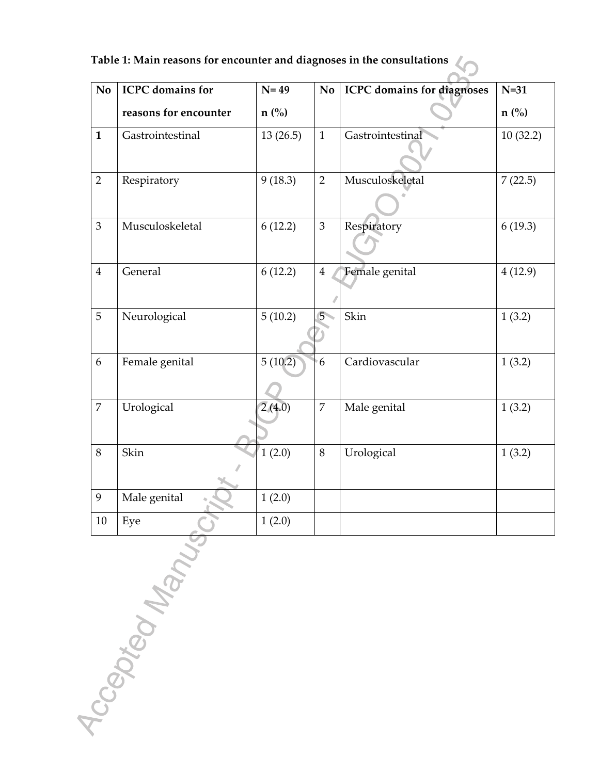| Table 1: Main reasons for encounter and diagnoses in the consultations $\sqrt{ }$ |  |  |  |
|-----------------------------------------------------------------------------------|--|--|--|
|-----------------------------------------------------------------------------------|--|--|--|

| No             | <b>ICPC</b> domains for | $N=49$        | N <sub>o</sub> | <b>ICPC</b> domains for diagnoses | $N=31$        |
|----------------|-------------------------|---------------|----------------|-----------------------------------|---------------|
|                | reasons for encounter   | $n(^{0}_{0})$ |                |                                   | $n(^{0}_{0})$ |
| $\mathbf{1}$   | Gastrointestinal        | 13(26.5)      | $\mathbf{1}$   | Gastrointestinal                  | 10(32.2)      |
| $\overline{2}$ | Respiratory             | 9(18.3)       | $\overline{2}$ | Musculoskeletal                   | 7(22.5)       |
| $\overline{3}$ | Musculoskeletal         | 6(12.2)       | 3              | Respiratory                       | 6(19.3)       |
| $\overline{4}$ | General                 | 6(12.2)       | $\overline{4}$ | Female genital                    | 4(12.9)       |
| 5              | Neurological            | 5(10.2)       | 5              | Skin                              | 1(3.2)        |
| 6              | Female genital          | 5(10.2)       | 6              | Cardiovascular                    | 1(3.2)        |
| $\overline{7}$ | Urological              | 2(4.0)        | $\overline{7}$ | Male genital                      | 1(3.2)        |
| $\,8\,$        | Skin                    | 1(2.0)        | $8\,$          | Urological                        | 1(3.2)        |
| 9              | Male genital            | 1(2.0)        |                |                                   |               |
| 10             | Eye                     | 1(2.0)        |                |                                   |               |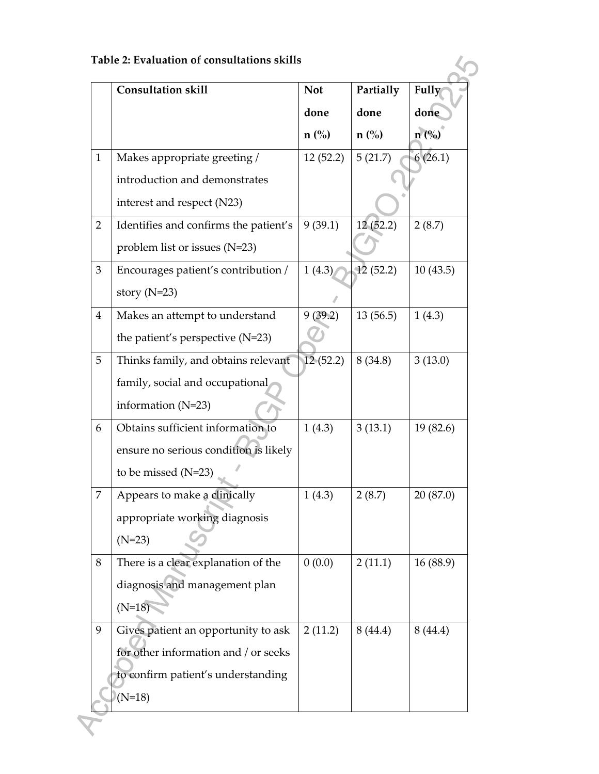|                | <b>Consultation skill</b>             | <b>Not</b>    | Partially     | <b>Fully</b> |
|----------------|---------------------------------------|---------------|---------------|--------------|
|                |                                       | done          | done          | done         |
|                |                                       | $n(^{0}_{0})$ | $n(^{0}_{0})$ | n (%)        |
| $\mathbf{1}$   | Makes appropriate greeting /          | 12(52.2)      | 5(21.7)       | 6(26.1)      |
|                | introduction and demonstrates         |               |               |              |
|                | interest and respect (N23)            |               |               |              |
| $\overline{2}$ | Identifies and confirms the patient's | 9(39.1)       | 12(52.2)      | 2(8.7)       |
|                | problem list or issues (N=23)         |               |               |              |
| 3              | Encourages patient's contribution /   | 1(4.3)        | 12(52.2)      | 10(43.5)     |
|                | story $(N=23)$                        |               |               |              |
| $\overline{4}$ | Makes an attempt to understand        | 9(39.2)       | 13(56.5)      | 1(4.3)       |
|                | the patient's perspective (N=23)      |               |               |              |
| 5              | Thinks family, and obtains relevant   | 12(52.2)      | 8(34.8)       | 3(13.0)      |
|                | family, social and occupational       |               |               |              |
|                | information $(N=23)$                  |               |               |              |
| 6              | Obtains sufficient information to     | 1(4.3)        | 3(13.1)       | 19(82.6)     |
|                | ensure no serious condition is likely |               |               |              |
|                | to be missed (N=23)                   |               |               |              |
| 7              | Appears to make a clinically          | 1(4.3)        | 2(8.7)        | 20 (87.0)    |
|                | appropriate working diagnosis         |               |               |              |
|                | $(N=23)$                              |               |               |              |
| 8              | There is a clear explanation of the   | 0(0.0)        | 2(11.1)       | 16(88.9)     |
|                | diagnosis and management plan         |               |               |              |
|                | $(N=18)$                              |               |               |              |
| 9              | Gives patient an opportunity to ask   | 2(11.2)       | 8(44.4)       | 8(44.4)      |
|                | for other information and / or seeks  |               |               |              |
|                | to confirm patient's understanding    |               |               |              |
|                | $(N=18)$                              |               |               |              |

 $\mathcal{S}$ 

 $\sum_{i=1}^{n}$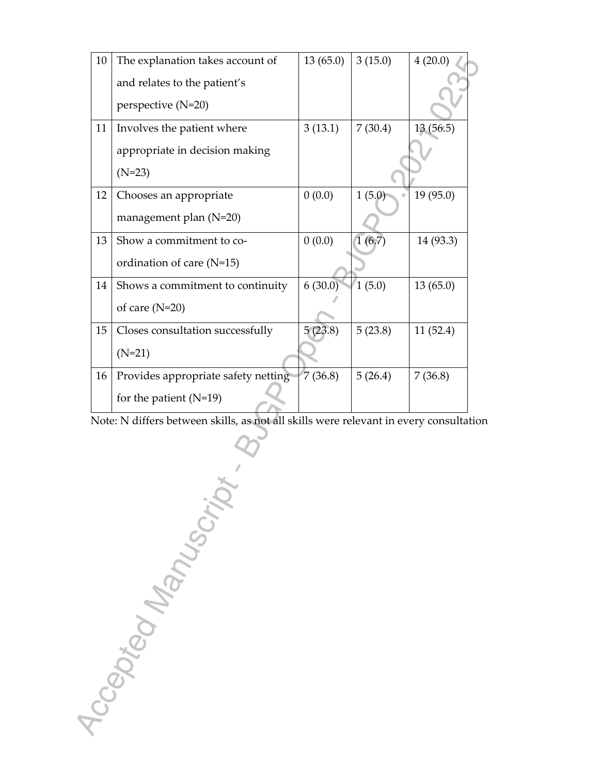| 10 | The explanation takes account of    | 13(65.0) | 3(15.0) | 4(20.0)   |
|----|-------------------------------------|----------|---------|-----------|
|    | and relates to the patient's        |          |         |           |
|    | perspective (N=20)                  |          |         |           |
|    |                                     |          |         |           |
| 11 | Involves the patient where          | 3(13.1)  | 7(30.4) | 13(56.5)  |
|    | appropriate in decision making      |          |         |           |
|    | $(N=23)$                            |          |         |           |
| 12 | Chooses an appropriate              | 0(0.0)   | 1(5.0)  | 19 (95.0) |
|    | management plan (N=20)              |          |         |           |
| 13 | Show a commitment to co-            | 0(0.0)   | 1(6.7)  | 14 (93.3) |
|    | ordination of care (N=15)           |          |         |           |
| 14 | Shows a commitment to continuity    | 6(30.0)  | 1(5.0)  | 13(65.0)  |
|    | of care $(N=20)$                    |          |         |           |
| 15 | Closes consultation successfully    | 5(23.8)  | 5(23.8) | 11(52.4)  |
|    | $(N=21)$                            |          |         |           |
| 16 | Provides appropriate safety netting | 7(36.8)  | 5(26.4) | 7(36.8)   |
|    | for the patient $(N=19)$            |          |         |           |

Note: N differs between skills, as not all skills were relevant in every consultation

For the patient (Noted that the patient of the patient of the patient of the patient of the patient of the patient of the patient of the patient of the patient of the patient of the patient of the patient of the patient o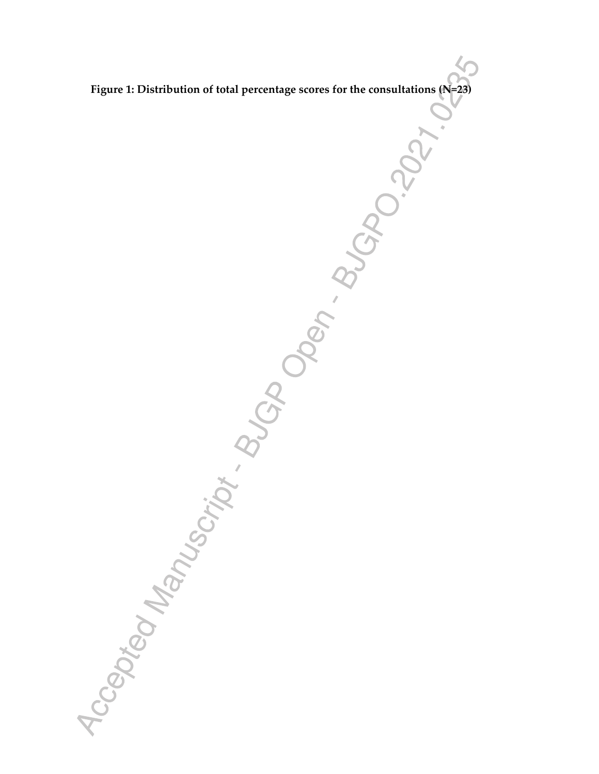*F* Google The Consultation of the Consultation of the Consultation of the Consultation of the Consultation of the Consultation of the Consultation of the Consultation of the Consultation of the Consultation of the Consult